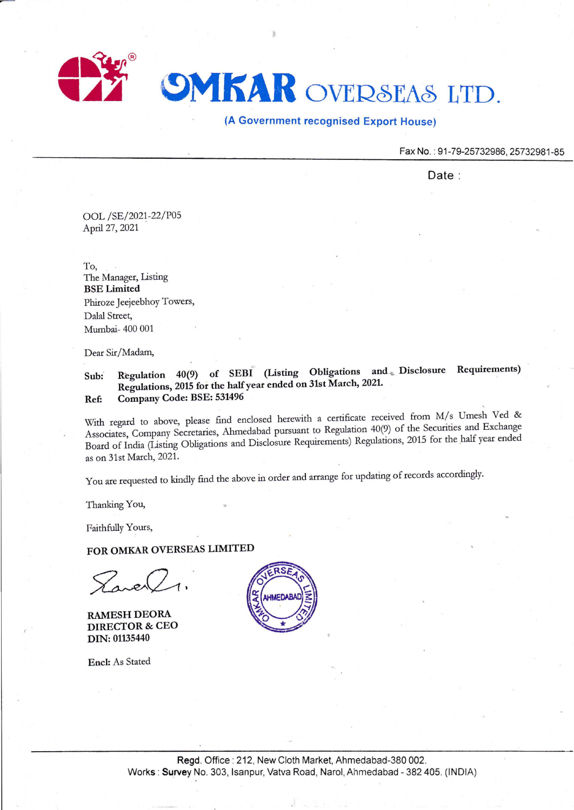

## (A Government recognised Export House)

Fax No.: 91-79-25732986, 25732981-85

Date:

OOL /SE/2021-22/POS April 27, 2021

To, The Manager, Listing BSE Limited Phiroze Jeejeebhoy Towers, Dalal Street, Mumbai- 400 001

Dear Sir/Madam,

Sub: Regulation 40(9) of SEBI (Listing Obligations and. Disclosure Requirements) Regulations, 2015 for the half year ended on 31st March, 2021. Ref: Company Code: BSE: 531496

With regard to above, please find enclosed herewith a certificate received from M/s Umesh Ved & Associates, Company Secretaries, Ahmedabad pursuant to Regulation 40(9) of the Securities and Exchange Board of India (Lsting Obligations and Disclosure Requirements) Regulations, 2015 for the half year ended as on 31st March, 2021.

You are requested to kindly find the above in order and arrange for updating of records accordingly.

Thanking You,

Faithfully Yours,

FOR OMKAR OVERSEAS LIMITED

Trea

RAMESH DEORA DIRECTOR & CEO DIN: 01135440

Encl: As Stated